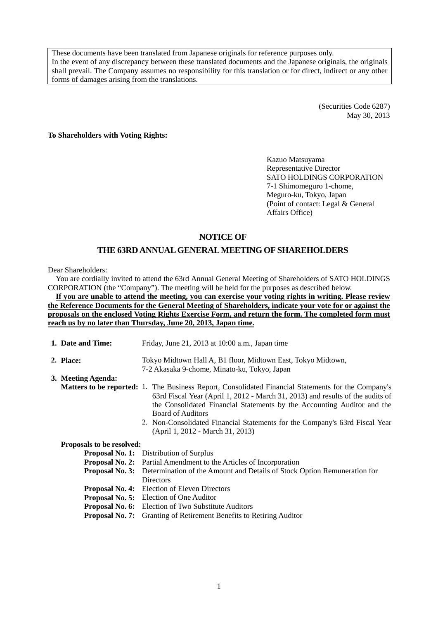These documents have been translated from Japanese originals for reference purposes only. In the event of any discrepancy between these translated documents and the Japanese originals, the originals shall prevail. The Company assumes no responsibility for this translation or for direct, indirect or any other forms of damages arising from the translations.

> (Securities Code 6287) May 30, 2013

**To Shareholders with Voting Rights:** 

Kazuo Matsuyama Representative Director SATO HOLDINGS CORPORATION 7-1 Shimomeguro 1-chome, Meguro-ku, Tokyo, Japan (Point of contact: Legal & General Affairs Office)

# **NOTICE OF**

# **THE 63RD ANNUAL GENERAL MEETING OF SHAREHOLDERS**

Dear Shareholders:

You are cordially invited to attend the 63rd Annual General Meeting of Shareholders of SATO HOLDINGS CORPORATION (the "Company"). The meeting will be held for the purposes as described below.

**If you are unable to attend the meeting, you can exercise your voting rights in writing. Please review the Reference Documents for the General Meeting of Shareholders, indicate your vote for or against the proposals on the enclosed Voting Rights Exercise Form, and return the form. The completed form must reach us by no later than Thursday, June 20, 2013, Japan time.** 

|           | 1. Date and Time:         | Friday, June 21, 2013 at 10:00 a.m., Japan time                                                                                                                                                                                                                                                     |  |  |  |
|-----------|---------------------------|-----------------------------------------------------------------------------------------------------------------------------------------------------------------------------------------------------------------------------------------------------------------------------------------------------|--|--|--|
| 2. Place: |                           | Tokyo Midtown Hall A, B1 floor, Midtown East, Tokyo Midtown,<br>7-2 Akasaka 9-chome, Minato-ku, Tokyo, Japan                                                                                                                                                                                        |  |  |  |
|           | 3. Meeting Agenda:        |                                                                                                                                                                                                                                                                                                     |  |  |  |
|           |                           | <b>Matters to be reported:</b> 1. The Business Report, Consolidated Financial Statements for the Company's<br>63rd Fiscal Year (April 1, 2012 - March 31, 2013) and results of the audits of<br>the Consolidated Financial Statements by the Accounting Auditor and the<br><b>Board of Auditors</b> |  |  |  |
|           |                           | 2. Non-Consolidated Financial Statements for the Company's 63rd Fiscal Year<br>(April 1, 2012 - March 31, 2013)                                                                                                                                                                                     |  |  |  |
|           | Proposals to be resolved: |                                                                                                                                                                                                                                                                                                     |  |  |  |
|           |                           | <b>Proposal No. 1:</b> Distribution of Surplus                                                                                                                                                                                                                                                      |  |  |  |
|           |                           | <b>Proposal No. 2:</b> Partial Amendment to the Articles of Incorporation                                                                                                                                                                                                                           |  |  |  |
|           | Proposal No. 3:           | Determination of the Amount and Details of Stock Option Remuneration for<br>Directors                                                                                                                                                                                                               |  |  |  |
|           |                           | <b>Proposal No. 4:</b> Election of Eleven Directors                                                                                                                                                                                                                                                 |  |  |  |
|           |                           | <b>Proposal No. 5:</b> Election of One Auditor                                                                                                                                                                                                                                                      |  |  |  |
|           |                           | <b>Proposal No. 6:</b> Election of Two Substitute Auditors                                                                                                                                                                                                                                          |  |  |  |
|           |                           | <b>Proposal No. 7:</b> Granting of Retirement Benefits to Retiring Auditor                                                                                                                                                                                                                          |  |  |  |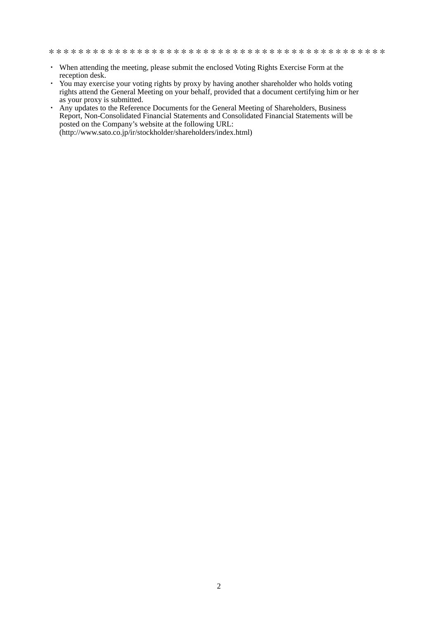- ・ When attending the meeting, please submit the enclosed Voting Rights Exercise Form at the reception desk.
- ・ You may exercise your voting rights by proxy by having another shareholder who holds voting rights attend the General Meeting on your behalf, provided that a document certifying him or her as your proxy is submitted.
- ・ Any updates to the Reference Documents for the General Meeting of Shareholders, Business Report, Non-Consolidated Financial Statements and Consolidated Financial Statements will be posted on the Company's website at the following URL: (http://www.sato.co.jp/ir/stockholder/shareholders/index.html)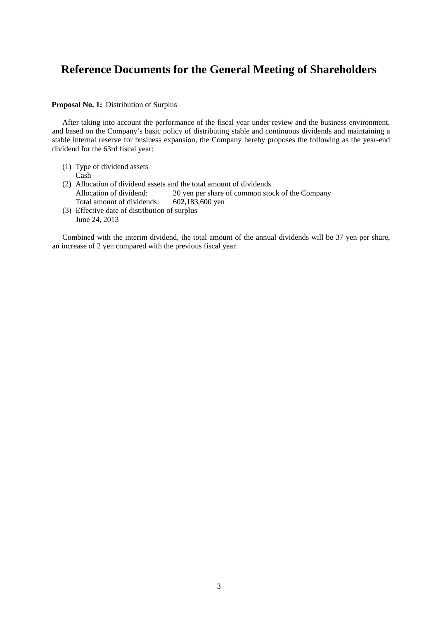# **Reference Documents for the General Meeting of Shareholders**

## **Proposal No. 1:** Distribution of Surplus

After taking into account the performance of the fiscal year under review and the business environment, and based on the Company's basic policy of distributing stable and continuous dividends and maintaining a stable internal reserve for business expansion, the Company hereby proposes the following as the year-end dividend for the 63rd fiscal year:

- (1) Type of dividend assets Cash
- (2) Allocation of dividend assets and the total amount of dividends Allocation of dividend: 20 yen per share of common stock of the Company<br>Total amount of dividends: 602,183,600 yen Total amount of dividends:
- (3) Effective date of distribution of surplus June 24, 2013

Combined with the interim dividend, the total amount of the annual dividends will be 37 yen per share, an increase of 2 yen compared with the previous fiscal year.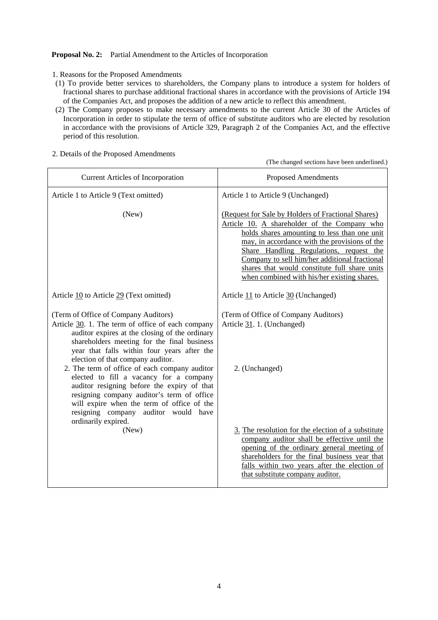## **Proposal No. 2:** Partial Amendment to the Articles of Incorporation

- 1. Reasons for the Proposed Amendments
- (1) To provide better services to shareholders, the Company plans to introduce a system for holders of fractional shares to purchase additional fractional shares in accordance with the provisions of Article 194 of the Companies Act, and proposes the addition of a new article to reflect this amendment.
- (2) The Company proposes to make necessary amendments to the current Article 30 of the Articles of Incorporation in order to stipulate the term of office of substitute auditors who are elected by resolution in accordance with the provisions of Article 329, Paragraph 2 of the Companies Act, and the effective period of this resolution.

| <b>Current Articles of Incorporation</b>                                                                                                                                                                                                                                                                                                                                                                                                                                | <b>Proposed Amendments</b>                                                                                                                                                                                                                                                                                                                                                                      |
|-------------------------------------------------------------------------------------------------------------------------------------------------------------------------------------------------------------------------------------------------------------------------------------------------------------------------------------------------------------------------------------------------------------------------------------------------------------------------|-------------------------------------------------------------------------------------------------------------------------------------------------------------------------------------------------------------------------------------------------------------------------------------------------------------------------------------------------------------------------------------------------|
| Article 1 to Article 9 (Text omitted)                                                                                                                                                                                                                                                                                                                                                                                                                                   | Article 1 to Article 9 (Unchanged)                                                                                                                                                                                                                                                                                                                                                              |
| (New)                                                                                                                                                                                                                                                                                                                                                                                                                                                                   | (Request for Sale by Holders of Fractional Shares)<br>Article 10. A shareholder of the Company who<br>holds shares amounting to less than one unit<br>may, in accordance with the provisions of the<br>Share Handling Regulations, request the<br>Company to sell him/her additional fractional<br>shares that would constitute full share units<br>when combined with his/her existing shares. |
| Article 10 to Article 29 (Text omitted)                                                                                                                                                                                                                                                                                                                                                                                                                                 | Article 11 to Article 30 (Unchanged)                                                                                                                                                                                                                                                                                                                                                            |
| (Term of Office of Company Auditors)<br>Article 30. 1. The term of office of each company<br>auditor expires at the closing of the ordinary<br>shareholders meeting for the final business<br>year that falls within four years after the<br>election of that company auditor.<br>2. The term of office of each company auditor<br>elected to fill a vacancy for a company<br>auditor resigning before the expiry of that<br>resigning company auditor's term of office | (Term of Office of Company Auditors)<br>Article 31. 1. (Unchanged)<br>2. (Unchanged)                                                                                                                                                                                                                                                                                                            |
| will expire when the term of office of the<br>resigning company auditor would have<br>ordinarily expired.<br>(New)                                                                                                                                                                                                                                                                                                                                                      | 3. The resolution for the election of a substitute<br>company auditor shall be effective until the<br>opening of the ordinary general meeting of<br>shareholders for the final business year that<br>falls within two years after the election of<br>that substitute company auditor.                                                                                                           |

2. Details of the Proposed Amendments

(The changed sections have been underlined.)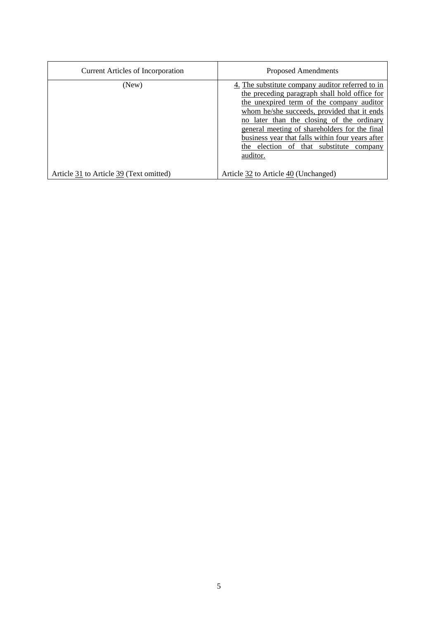| <b>Current Articles of Incorporation</b> | Proposed Amendments                                                                                                                                                                                                                                                                                                                                                                                       |
|------------------------------------------|-----------------------------------------------------------------------------------------------------------------------------------------------------------------------------------------------------------------------------------------------------------------------------------------------------------------------------------------------------------------------------------------------------------|
| (New)                                    | 4. The substitute company auditor referred to in<br>the preceding paragraph shall hold office for<br>the unexpired term of the company auditor<br>whom he/she succeeds, provided that it ends<br>no later than the closing of the ordinary<br>general meeting of shareholders for the final<br>business year that falls within four years after<br>the election of that substitute<br>company<br>auditor. |
| Article 31 to Article 39 (Text omitted)  | Article 32 to Article 40 (Unchanged)                                                                                                                                                                                                                                                                                                                                                                      |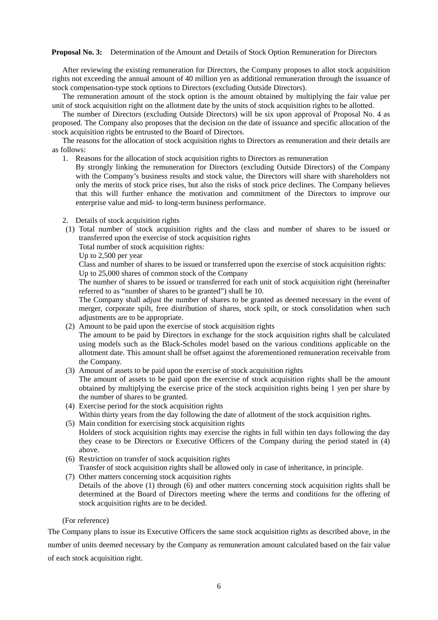#### **Proposal No. 3:** Determination of the Amount and Details of Stock Option Remuneration for Directors

After reviewing the existing remuneration for Directors, the Company proposes to allot stock acquisition rights not exceeding the annual amount of 40 million yen as additional remuneration through the issuance of stock compensation-type stock options to Directors (excluding Outside Directors).

The remuneration amount of the stock option is the amount obtained by multiplying the fair value per unit of stock acquisition right on the allotment date by the units of stock acquisition rights to be allotted.

The number of Directors (excluding Outside Directors) will be six upon approval of Proposal No. 4 as proposed. The Company also proposes that the decision on the date of issuance and specific allocation of the stock acquisition rights be entrusted to the Board of Directors.

The reasons for the allocation of stock acquisition rights to Directors as remuneration and their details are as follows:

1. Reasons for the allocation of stock acquisition rights to Directors as remuneration

By strongly linking the remuneration for Directors (excluding Outside Directors) of the Company with the Company's business results and stock value, the Directors will share with shareholders not only the merits of stock price rises, but also the risks of stock price declines. The Company believes that this will further enhance the motivation and commitment of the Directors to improve our enterprise value and mid- to long-term business performance.

- 2. Details of stock acquisition rights
- (1) Total number of stock acquisition rights and the class and number of shares to be issued or transferred upon the exercise of stock acquisition rights

Total number of stock acquisition rights:

Up to 2,500 per year

Class and number of shares to be issued or transferred upon the exercise of stock acquisition rights: Up to 25,000 shares of common stock of the Company

The number of shares to be issued or transferred for each unit of stock acquisition right (hereinafter referred to as "number of shares to be granted") shall be 10.

The Company shall adjust the number of shares to be granted as deemed necessary in the event of merger, corporate spilt, free distribution of shares, stock spilt, or stock consolidation when such adjustments are to be appropriate.

(2) Amount to be paid upon the exercise of stock acquisition rights

The amount to be paid by Directors in exchange for the stock acquisition rights shall be calculated using models such as the Black-Scholes model based on the various conditions applicable on the allotment date. This amount shall be offset against the aforementioned remuneration receivable from the Company.

- (3) Amount of assets to be paid upon the exercise of stock acquisition rights The amount of assets to be paid upon the exercise of stock acquisition rights shall be the amount obtained by multiplying the exercise price of the stock acquisition rights being 1 yen per share by the number of shares to be granted.
- (4) Exercise period for the stock acquisition rights Within thirty years from the day following the date of allotment of the stock acquisition rights.
- (5) Main condition for exercising stock acquisition rights Holders of stock acquisition rights may exercise the rights in full within ten days following the day they cease to be Directors or Executive Officers of the Company during the period stated in (4) above.
- (6) Restriction on transfer of stock acquisition rights

Transfer of stock acquisition rights shall be allowed only in case of inheritance, in principle.

(7) Other matters concerning stock acquisition rights Details of the above (1) through (6) and other matters concerning stock acquisition rights shall be determined at the Board of Directors meeting where the terms and conditions for the offering of stock acquisition rights are to be decided.

#### (For reference)

The Company plans to issue its Executive Officers the same stock acquisition rights as described above, in the number of units deemed necessary by the Company as remuneration amount calculated based on the fair value of each stock acquisition right.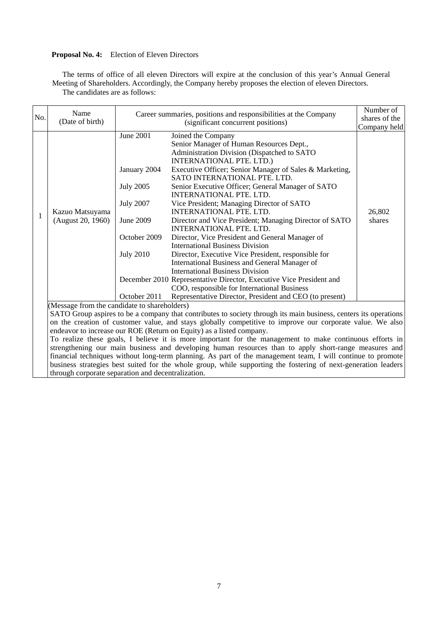# **Proposal No. 4:** Election of Eleven Directors

The terms of office of all eleven Directors will expire at the conclusion of this year's Annual General Meeting of Shareholders. Accordingly, the Company hereby proposes the election of eleven Directors. The candidates are as follows:

| No. | Name<br>(Date of birth)                                                                                                                                                                                                                                                                                                                                                                                                                                                                                                                                                                                                                                                                                                                                                                                                                                          |                                                                                                                                           | Career summaries, positions and responsibilities at the Company<br>(significant concurrent positions)                                                                                                                                                                                                                                                                                                                                                                                                                                                                                                                                                                                                                                                                                                                                                                                                             | Number of<br>shares of the<br>Company held |  |
|-----|------------------------------------------------------------------------------------------------------------------------------------------------------------------------------------------------------------------------------------------------------------------------------------------------------------------------------------------------------------------------------------------------------------------------------------------------------------------------------------------------------------------------------------------------------------------------------------------------------------------------------------------------------------------------------------------------------------------------------------------------------------------------------------------------------------------------------------------------------------------|-------------------------------------------------------------------------------------------------------------------------------------------|-------------------------------------------------------------------------------------------------------------------------------------------------------------------------------------------------------------------------------------------------------------------------------------------------------------------------------------------------------------------------------------------------------------------------------------------------------------------------------------------------------------------------------------------------------------------------------------------------------------------------------------------------------------------------------------------------------------------------------------------------------------------------------------------------------------------------------------------------------------------------------------------------------------------|--------------------------------------------|--|
| 1   | Kazuo Matsuyama<br>(August 20, 1960)                                                                                                                                                                                                                                                                                                                                                                                                                                                                                                                                                                                                                                                                                                                                                                                                                             | <b>June 2001</b><br>January 2004<br><b>July 2005</b><br><b>July 2007</b><br>June 2009<br>October 2009<br><b>July 2010</b><br>October 2011 | Joined the Company<br>Senior Manager of Human Resources Dept.,<br>Administration Division (Dispatched to SATO<br>INTERNATIONAL PTE. LTD.)<br>Executive Officer; Senior Manager of Sales & Marketing,<br>SATO INTERNATIONAL PTE. LTD.<br>Senior Executive Officer; General Manager of SATO<br>INTERNATIONAL PTE. LTD.<br>Vice President; Managing Director of SATO<br>INTERNATIONAL PTE. LTD.<br>Director and Vice President; Managing Director of SATO<br>INTERNATIONAL PTE. LTD.<br>Director, Vice President and General Manager of<br><b>International Business Division</b><br>Director, Executive Vice President, responsible for<br>International Business and General Manager of<br><b>International Business Division</b><br>December 2010 Representative Director, Executive Vice President and<br>COO, responsible for International Business<br>Representative Director, President and CEO (to present) | 26,802<br>shares                           |  |
|     | (Message from the candidate to shareholders)<br>SATO Group aspires to be a company that contributes to society through its main business, centers its operations<br>on the creation of customer value, and stays globally competitive to improve our corporate value. We also<br>endeavor to increase our ROE (Return on Equity) as a listed company.<br>To realize these goals, I believe it is more important for the management to make continuous efforts in<br>strengthening our main business and developing human resources than to apply short-range measures and<br>financial techniques without long-term planning. As part of the management team, I will continue to promote<br>business strategies best suited for the whole group, while supporting the fostering of next-generation leaders<br>through corporate separation and decentralization. |                                                                                                                                           |                                                                                                                                                                                                                                                                                                                                                                                                                                                                                                                                                                                                                                                                                                                                                                                                                                                                                                                   |                                            |  |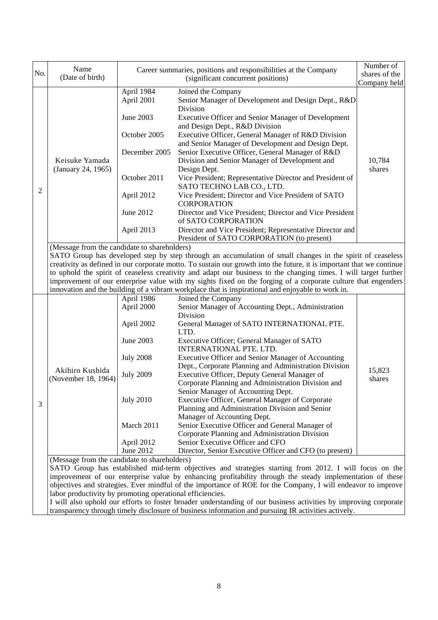| No. | Name                                                                                                          |                                    | Career summaries, positions and responsibilities at the Company                                                       | Number of                     |  |  |
|-----|---------------------------------------------------------------------------------------------------------------|------------------------------------|-----------------------------------------------------------------------------------------------------------------------|-------------------------------|--|--|
|     | (Date of birth)                                                                                               | (significant concurrent positions) |                                                                                                                       | shares of the<br>Company held |  |  |
|     |                                                                                                               | April 1984                         | Joined the Company                                                                                                    |                               |  |  |
|     |                                                                                                               | April 2001                         | Senior Manager of Development and Design Dept., R&D<br>Division                                                       |                               |  |  |
|     |                                                                                                               | June 2003                          | Executive Officer and Senior Manager of Development<br>and Design Dept., R&D Division                                 |                               |  |  |
|     |                                                                                                               | October 2005                       | Executive Officer, General Manager of R&D Division<br>and Senior Manager of Development and Design Dept.              |                               |  |  |
|     | Keisuke Yamada                                                                                                | December 2005                      | Senior Executive Officer, General Manager of R&D<br>Division and Senior Manager of Development and                    | 10,784                        |  |  |
|     | (January 24, 1965)                                                                                            |                                    | Design Dept.                                                                                                          | shares                        |  |  |
| 2   |                                                                                                               | October 2011                       | Vice President; Representative Director and President of<br>SATO TECHNO LAB CO., LTD.                                 |                               |  |  |
|     |                                                                                                               | April 2012                         | Vice President; Director and Vice President of SATO<br><b>CORPORATION</b>                                             |                               |  |  |
|     |                                                                                                               | June 2012                          | Director and Vice President; Director and Vice President<br>of SATO CORPORATION                                       |                               |  |  |
|     |                                                                                                               | April 2013                         | Director and Vice President; Representative Director and<br>President of SATO CORPORATION (to present)                |                               |  |  |
|     | (Message from the candidate to shareholders)                                                                  |                                    |                                                                                                                       |                               |  |  |
|     |                                                                                                               |                                    | SATO Group has developed step by step through an accumulation of small changes in the spirit of ceaseless             |                               |  |  |
|     |                                                                                                               |                                    | creativity as defined in our corporate motto. To sustain our growth into the future, it is important that we continue |                               |  |  |
|     |                                                                                                               |                                    | to uphold the spirit of ceaseless creativity and adapt our business to the changing times. I will target further      |                               |  |  |
|     | improvement of our enterprise value with my sights fixed on the forging of a corporate culture that engenders |                                    |                                                                                                                       |                               |  |  |
|     |                                                                                                               |                                    | innovation and the building of a vibrant workplace that is inspirational and enjoyable to work in.                    |                               |  |  |
|     |                                                                                                               | April 1986                         | Joined the Company                                                                                                    |                               |  |  |
|     |                                                                                                               | April 2000                         | Senior Manager of Accounting Dept., Administration                                                                    |                               |  |  |
|     |                                                                                                               |                                    | Division                                                                                                              |                               |  |  |
|     |                                                                                                               | April 2002                         | General Manager of SATO INTERNATIONAL PTE.                                                                            |                               |  |  |
|     |                                                                                                               |                                    | LTD.                                                                                                                  |                               |  |  |
|     |                                                                                                               | June 2003                          | Executive Officer; General Manager of SATO<br>INTERNATIONAL PTE. LTD.                                                 |                               |  |  |
|     |                                                                                                               | <b>July 2008</b>                   | Executive Officer and Senior Manager of Accounting                                                                    |                               |  |  |
|     | Akihiro Kushida                                                                                               | <b>July 2009</b>                   | Dept., Corporate Planning and Administration Division<br>Executive Officer, Deputy General Manager of                 | 15,823                        |  |  |
|     | (November 18, 1964)                                                                                           |                                    | Corporate Planning and Administration Division and                                                                    | shares                        |  |  |
|     |                                                                                                               |                                    | Senior Manager of Accounting Dept.                                                                                    |                               |  |  |
|     |                                                                                                               | <b>July 2010</b>                   | Executive Officer, General Manager of Corporate                                                                       |                               |  |  |
| 3   |                                                                                                               |                                    | Planning and Administration Division and Senior                                                                       |                               |  |  |
|     |                                                                                                               |                                    | Manager of Accounting Dept.                                                                                           |                               |  |  |
|     |                                                                                                               | March 2011                         | Senior Executive Officer and General Manager of                                                                       |                               |  |  |
|     |                                                                                                               |                                    | Corporate Planning and Administration Division                                                                        |                               |  |  |
|     |                                                                                                               | April 2012                         | Senior Executive Officer and CFO                                                                                      |                               |  |  |
|     |                                                                                                               | June 2012                          | Director, Senior Executive Officer and CFO (to present)                                                               |                               |  |  |
|     | (Message from the candidate to shareholders)                                                                  |                                    |                                                                                                                       |                               |  |  |
|     |                                                                                                               |                                    | SATO Group has established mid-term objectives and strategies starting from 2012. I will focus on the                 |                               |  |  |
|     |                                                                                                               |                                    | improvement of our enterprise value by enhancing profitability through the steady implementation of these             |                               |  |  |
|     |                                                                                                               |                                    | objectives and strategies. Ever mindful of the importance of ROE for the Company, I will endeavor to improve          |                               |  |  |
|     | labor productivity by promoting operational efficiencies.                                                     |                                    |                                                                                                                       |                               |  |  |
|     |                                                                                                               |                                    | I will also uphold our efforts to foster broader understanding of our business activities by improving corporate      |                               |  |  |
|     |                                                                                                               |                                    | transparency through timely disclosure of business information and pursuing IR activities actively.                   |                               |  |  |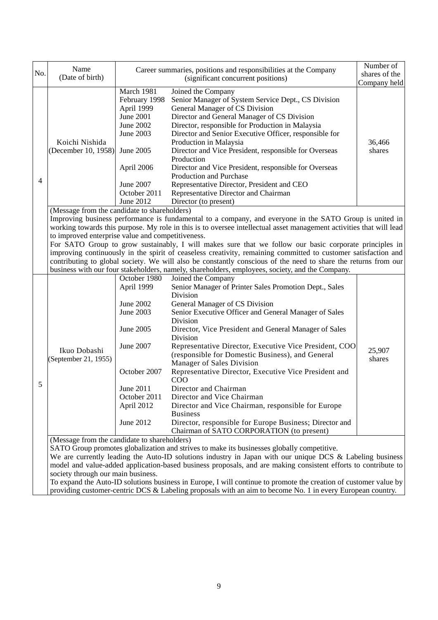| No. | Name<br>(Date of birth)                                                                                                    |                                                                                                                                                                                                                                                                                                                                                                                                                                                                                                                                                                                                                                                                                                                                                                                      | Career summaries, positions and responsibilities at the Company<br>(significant concurrent positions)                                                                                                                                                                                                                                                                                                                                                                                                                                                                                                                                                                                                                                                                                                                                                                                                                                                                                                                                                  | Number of<br>shares of the<br>Company held |  |  |
|-----|----------------------------------------------------------------------------------------------------------------------------|--------------------------------------------------------------------------------------------------------------------------------------------------------------------------------------------------------------------------------------------------------------------------------------------------------------------------------------------------------------------------------------------------------------------------------------------------------------------------------------------------------------------------------------------------------------------------------------------------------------------------------------------------------------------------------------------------------------------------------------------------------------------------------------|--------------------------------------------------------------------------------------------------------------------------------------------------------------------------------------------------------------------------------------------------------------------------------------------------------------------------------------------------------------------------------------------------------------------------------------------------------------------------------------------------------------------------------------------------------------------------------------------------------------------------------------------------------------------------------------------------------------------------------------------------------------------------------------------------------------------------------------------------------------------------------------------------------------------------------------------------------------------------------------------------------------------------------------------------------|--------------------------------------------|--|--|
| 4   | Koichi Nishida<br>(December 10, 1958)                                                                                      | March 1981<br>February 1998<br>April 1999<br><b>June 2001</b><br>June 2002<br>June 2003<br>June 2005<br>April 2006<br>June 2007<br>October 2011<br>June 2012                                                                                                                                                                                                                                                                                                                                                                                                                                                                                                                                                                                                                         | Joined the Company<br>Senior Manager of System Service Dept., CS Division<br>General Manager of CS Division<br>Director and General Manager of CS Division<br>Director, responsible for Production in Malaysia<br>Director and Senior Executive Officer, responsible for<br>Production in Malaysia<br>Director and Vice President, responsible for Overseas<br>Production<br>Director and Vice President, responsible for Overseas<br>Production and Purchase<br>Representative Director, President and CEO<br>Representative Director and Chairman<br>Director (to present)                                                                                                                                                                                                                                                                                                                                                                                                                                                                           | 36,466<br>shares                           |  |  |
|     |                                                                                                                            | (Message from the candidate to shareholders)<br>Improving business performance is fundamental to a company, and everyone in the SATO Group is united in<br>working towards this purpose. My role in this is to oversee intellectual asset management activities that will lead<br>to improved enterprise value and competitiveness.<br>For SATO Group to grow sustainably, I will makes sure that we follow our basic corporate principles in<br>improving continuously in the spirit of ceaseless creativity, remaining committed to customer satisfaction and<br>contributing to global society. We will also be constantly conscious of the need to share the returns from our<br>business with our four stakeholders, namely, shareholders, employees, society, and the Company. |                                                                                                                                                                                                                                                                                                                                                                                                                                                                                                                                                                                                                                                                                                                                                                                                                                                                                                                                                                                                                                                        |                                            |  |  |
| 5   | Ikuo Dobashi<br>(September 21, 1955)<br>(Message from the candidate to shareholders)<br>society through our main business. | October 1980<br>April 1999<br>June 2002<br>June 2003<br>June 2005<br>June 2007<br>October 2007<br>June 2011<br>October 2011<br>April 2012<br>June 2012                                                                                                                                                                                                                                                                                                                                                                                                                                                                                                                                                                                                                               | Joined the Company<br>Senior Manager of Printer Sales Promotion Dept., Sales<br>Division<br>General Manager of CS Division<br>Senior Executive Officer and General Manager of Sales<br>Division<br>Director, Vice President and General Manager of Sales<br>Division<br>Representative Director, Executive Vice President, COO<br>(responsible for Domestic Business), and General<br>Manager of Sales Division<br>Representative Director, Executive Vice President and<br>COO<br>Director and Chairman<br>Director and Vice Chairman<br>Director and Vice Chairman, responsible for Europe<br><b>Business</b><br>Director, responsible for Europe Business; Director and<br>Chairman of SATO CORPORATION (to present)<br>SATO Group promotes globalization and strives to make its businesses globally competitive.<br>We are currently leading the Auto-ID solutions industry in Japan with our unique DCS $\&$ Labeling business<br>model and value-added application-based business proposals, and are making consistent efforts to contribute to | 25,907<br>shares                           |  |  |

To expand the Auto-ID solutions business in Europe, I will continue to promote the creation of customer value by providing customer-centric DCS & Labeling proposals with an aim to become No. 1 in every European country.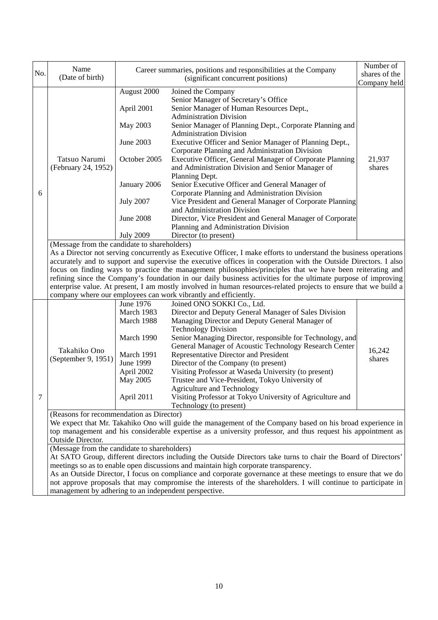| No.                                                                                 | Name<br>(Date of birth)                                                                                                                                                                                                                                                                                                                                                                                                                                              |                                                                                                              | Career summaries, positions and responsibilities at the Company<br>(significant concurrent positions)                            | Number of<br>shares of the |  |  |
|-------------------------------------------------------------------------------------|----------------------------------------------------------------------------------------------------------------------------------------------------------------------------------------------------------------------------------------------------------------------------------------------------------------------------------------------------------------------------------------------------------------------------------------------------------------------|--------------------------------------------------------------------------------------------------------------|----------------------------------------------------------------------------------------------------------------------------------|----------------------------|--|--|
|                                                                                     |                                                                                                                                                                                                                                                                                                                                                                                                                                                                      |                                                                                                              |                                                                                                                                  | Company held               |  |  |
|                                                                                     |                                                                                                                                                                                                                                                                                                                                                                                                                                                                      | August 2000<br>April 2001                                                                                    | Joined the Company<br>Senior Manager of Secretary's Office<br>Senior Manager of Human Resources Dept.,                           |                            |  |  |
|                                                                                     |                                                                                                                                                                                                                                                                                                                                                                                                                                                                      | May 2003                                                                                                     | <b>Administration Division</b><br>Senior Manager of Planning Dept., Corporate Planning and<br><b>Administration Division</b>     |                            |  |  |
|                                                                                     |                                                                                                                                                                                                                                                                                                                                                                                                                                                                      | June 2003                                                                                                    | Executive Officer and Senior Manager of Planning Dept.,<br>Corporate Planning and Administration Division                        |                            |  |  |
|                                                                                     | Tatsuo Narumi<br>(February 24, 1952)                                                                                                                                                                                                                                                                                                                                                                                                                                 | October 2005                                                                                                 | Executive Officer, General Manager of Corporate Planning<br>and Administration Division and Senior Manager of<br>Planning Dept.  | 21,937<br>shares           |  |  |
|                                                                                     |                                                                                                                                                                                                                                                                                                                                                                                                                                                                      | January 2006                                                                                                 | Senior Executive Officer and General Manager of                                                                                  |                            |  |  |
| 6                                                                                   |                                                                                                                                                                                                                                                                                                                                                                                                                                                                      | <b>July 2007</b>                                                                                             | Corporate Planning and Administration Division<br>Vice President and General Manager of Corporate Planning                       |                            |  |  |
|                                                                                     |                                                                                                                                                                                                                                                                                                                                                                                                                                                                      | <b>June 2008</b>                                                                                             | and Administration Division<br>Director, Vice President and General Manager of Corporate<br>Planning and Administration Division |                            |  |  |
|                                                                                     |                                                                                                                                                                                                                                                                                                                                                                                                                                                                      | <b>July 2009</b>                                                                                             | Director (to present)                                                                                                            |                            |  |  |
|                                                                                     | (Message from the candidate to shareholders)                                                                                                                                                                                                                                                                                                                                                                                                                         |                                                                                                              |                                                                                                                                  |                            |  |  |
|                                                                                     | As a Director not serving concurrently as Executive Officer, I make efforts to understand the business operations<br>accurately and to support and supervise the executive offices in cooperation with the Outside Directors. I also<br>focus on finding ways to practice the management philosophies/principles that we have been reiterating and<br>refining since the Company's foundation in our daily business activities for the ultimate purpose of improving |                                                                                                              |                                                                                                                                  |                            |  |  |
|                                                                                     |                                                                                                                                                                                                                                                                                                                                                                                                                                                                      |                                                                                                              | enterprise value. At present, I am mostly involved in human resources-related projects to ensure that we build a                 |                            |  |  |
|                                                                                     |                                                                                                                                                                                                                                                                                                                                                                                                                                                                      |                                                                                                              | company where our employees can work vibrantly and efficiently.                                                                  |                            |  |  |
|                                                                                     |                                                                                                                                                                                                                                                                                                                                                                                                                                                                      | June 1976<br>March 1983                                                                                      | Joined ONO SOKKI Co., Ltd.<br>Director and Deputy General Manager of Sales Division                                              |                            |  |  |
|                                                                                     |                                                                                                                                                                                                                                                                                                                                                                                                                                                                      | March 1988                                                                                                   |                                                                                                                                  |                            |  |  |
|                                                                                     |                                                                                                                                                                                                                                                                                                                                                                                                                                                                      |                                                                                                              | Managing Director and Deputy General Manager of<br><b>Technology Division</b>                                                    |                            |  |  |
|                                                                                     |                                                                                                                                                                                                                                                                                                                                                                                                                                                                      | March 1990                                                                                                   |                                                                                                                                  |                            |  |  |
|                                                                                     |                                                                                                                                                                                                                                                                                                                                                                                                                                                                      |                                                                                                              | Senior Managing Director, responsible for Technology, and<br>General Manager of Acoustic Technology Research Center              |                            |  |  |
|                                                                                     | Takahiko Ono                                                                                                                                                                                                                                                                                                                                                                                                                                                         | March 1991                                                                                                   | Representative Director and President                                                                                            | 16,242                     |  |  |
|                                                                                     | (September 9, 1951)                                                                                                                                                                                                                                                                                                                                                                                                                                                  | <b>June 1999</b>                                                                                             | Director of the Company (to present)                                                                                             | shares                     |  |  |
|                                                                                     |                                                                                                                                                                                                                                                                                                                                                                                                                                                                      | April 2002                                                                                                   | Visiting Professor at Waseda University (to present)                                                                             |                            |  |  |
|                                                                                     |                                                                                                                                                                                                                                                                                                                                                                                                                                                                      | May 2005                                                                                                     | Trustee and Vice-President, Tokyo University of                                                                                  |                            |  |  |
| 7                                                                                   |                                                                                                                                                                                                                                                                                                                                                                                                                                                                      | April 2011                                                                                                   | <b>Agriculture and Technology</b><br>Visiting Professor at Tokyo University of Agriculture and                                   |                            |  |  |
|                                                                                     |                                                                                                                                                                                                                                                                                                                                                                                                                                                                      |                                                                                                              | Technology (to present)                                                                                                          |                            |  |  |
|                                                                                     |                                                                                                                                                                                                                                                                                                                                                                                                                                                                      | (Reasons for recommendation as Director)                                                                     |                                                                                                                                  |                            |  |  |
|                                                                                     |                                                                                                                                                                                                                                                                                                                                                                                                                                                                      | We expect that Mr. Takahiko Ono will guide the management of the Company based on his broad experience in    |                                                                                                                                  |                            |  |  |
|                                                                                     | <b>Outside Director.</b>                                                                                                                                                                                                                                                                                                                                                                                                                                             | top management and his considerable expertise as a university professor, and thus request his appointment as |                                                                                                                                  |                            |  |  |
|                                                                                     | (Message from the candidate to shareholders)                                                                                                                                                                                                                                                                                                                                                                                                                         |                                                                                                              |                                                                                                                                  |                            |  |  |
|                                                                                     |                                                                                                                                                                                                                                                                                                                                                                                                                                                                      |                                                                                                              | At SATO Group, different directors including the Outside Directors take turns to chair the Board of Directors'                   |                            |  |  |
| meetings so as to enable open discussions and maintain high corporate transparency. |                                                                                                                                                                                                                                                                                                                                                                                                                                                                      |                                                                                                              |                                                                                                                                  |                            |  |  |
|                                                                                     | As an Outside Director, I focus on compliance and corporate governance at these meetings to ensure that we do                                                                                                                                                                                                                                                                                                                                                        |                                                                                                              |                                                                                                                                  |                            |  |  |
|                                                                                     | not approve proposals that may compromise the interests of the shareholders. I will continue to participate in<br>management by adhering to an independent perspective.                                                                                                                                                                                                                                                                                              |                                                                                                              |                                                                                                                                  |                            |  |  |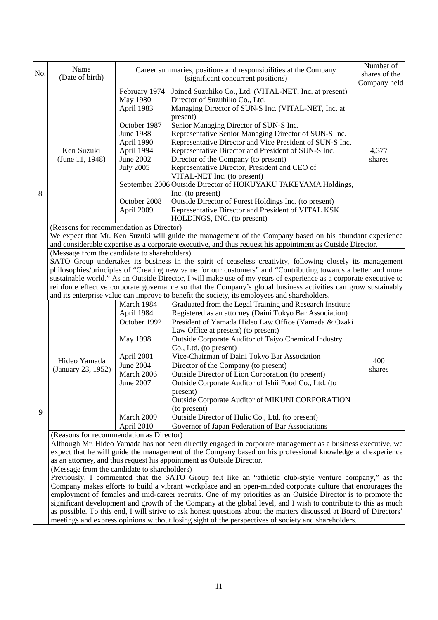| No. | Name<br>(Date of birth)                                                                                                                                                                                                                                                                                                                                                                                                                                                                                                                                                                                                                                                                                                               |                                                                                                                                                                                                                                                                                                                                                                                                                                                                                                                                                                                                                    | Career summaries, positions and responsibilities at the Company<br>(significant concurrent positions)                                                                                                                                                                                                                                                                                                                                                                                                                                                                                                                                                                                                                                          | Number of<br>shares of the<br>Company held |  |  |  |
|-----|---------------------------------------------------------------------------------------------------------------------------------------------------------------------------------------------------------------------------------------------------------------------------------------------------------------------------------------------------------------------------------------------------------------------------------------------------------------------------------------------------------------------------------------------------------------------------------------------------------------------------------------------------------------------------------------------------------------------------------------|--------------------------------------------------------------------------------------------------------------------------------------------------------------------------------------------------------------------------------------------------------------------------------------------------------------------------------------------------------------------------------------------------------------------------------------------------------------------------------------------------------------------------------------------------------------------------------------------------------------------|------------------------------------------------------------------------------------------------------------------------------------------------------------------------------------------------------------------------------------------------------------------------------------------------------------------------------------------------------------------------------------------------------------------------------------------------------------------------------------------------------------------------------------------------------------------------------------------------------------------------------------------------------------------------------------------------------------------------------------------------|--------------------------------------------|--|--|--|
| 8   | Ken Suzuki<br>(June 11, 1948)                                                                                                                                                                                                                                                                                                                                                                                                                                                                                                                                                                                                                                                                                                         | February 1974<br>May 1980<br>April 1983<br>October 1987<br><b>June 1988</b><br>April 1990<br>April 1994<br>June 2002<br><b>July 2005</b><br>October 2008<br>April 2009                                                                                                                                                                                                                                                                                                                                                                                                                                             | Joined Suzuhiko Co., Ltd. (VITAL-NET, Inc. at present)<br>Director of Suzuhiko Co., Ltd.<br>Managing Director of SUN-S Inc. (VITAL-NET, Inc. at<br>present)<br>Senior Managing Director of SUN-S Inc.<br>Representative Senior Managing Director of SUN-S Inc.<br>Representative Director and Vice President of SUN-S Inc.<br>Representative Director and President of SUN-S Inc.<br>Director of the Company (to present)<br>Representative Director, President and CEO of<br>VITAL-NET Inc. (to present)<br>September 2006 Outside Director of HOKUYAKU TAKEYAMA Holdings,<br>Inc. (to present)<br>Outside Director of Forest Holdings Inc. (to present)<br>Representative Director and President of VITAL KSK<br>HOLDINGS, INC. (to present) | 4,377<br>shares                            |  |  |  |
|     | (Reasons for recommendation as Director)                                                                                                                                                                                                                                                                                                                                                                                                                                                                                                                                                                                                                                                                                              |                                                                                                                                                                                                                                                                                                                                                                                                                                                                                                                                                                                                                    | We expect that Mr. Ken Suzuki will guide the management of the Company based on his abundant experience<br>and considerable expertise as a corporate executive, and thus request his appointment as Outside Director.                                                                                                                                                                                                                                                                                                                                                                                                                                                                                                                          |                                            |  |  |  |
|     |                                                                                                                                                                                                                                                                                                                                                                                                                                                                                                                                                                                                                                                                                                                                       | (Message from the candidate to shareholders)<br>SATO Group undertakes its business in the spirit of ceaseless creativity, following closely its management<br>philosophies/principles of "Creating new value for our customers" and "Contributing towards a better and more<br>sustainable world." As an Outside Director, I will make use of my years of experience as a corporate executive to<br>reinforce effective corporate governance so that the Company's global business activities can grow sustainably<br>and its enterprise value can improve to benefit the society, its employees and shareholders. |                                                                                                                                                                                                                                                                                                                                                                                                                                                                                                                                                                                                                                                                                                                                                |                                            |  |  |  |
| 9   | Hideo Yamada<br>(January 23, 1952)                                                                                                                                                                                                                                                                                                                                                                                                                                                                                                                                                                                                                                                                                                    | March 1984<br>April 1984<br>October 1992<br><b>May 1998</b><br>April 2001<br><b>June 2004</b><br>March 2006<br>June 2007<br>March 2009<br>April 2010                                                                                                                                                                                                                                                                                                                                                                                                                                                               | Graduated from the Legal Training and Research Institute<br>Registered as an attorney (Daini Tokyo Bar Association)<br>President of Yamada Hideo Law Office (Yamada & Ozaki<br>Law Office at present) (to present)<br>Outside Corporate Auditor of Taiyo Chemical Industry<br>Co., Ltd. (to present)<br>Vice-Chairman of Daini Tokyo Bar Association<br>Director of the Company (to present)<br>Outside Director of Lion Corporation (to present)<br>Outside Corporate Auditor of Ishii Food Co., Ltd. (to<br>present)<br>Outside Corporate Auditor of MIKUNI CORPORATION<br>(to present)<br>Outside Director of Hulic Co., Ltd. (to present)<br>Governor of Japan Federation of Bar Associations                                              | 400<br>shares                              |  |  |  |
|     | (Reasons for recommendation as Director)<br>Although Mr. Hideo Yamada has not been directly engaged in corporate management as a business executive, we<br>expect that he will guide the management of the Company based on his professional knowledge and experience<br>as an attorney, and thus request his appointment as Outside Director.                                                                                                                                                                                                                                                                                                                                                                                        |                                                                                                                                                                                                                                                                                                                                                                                                                                                                                                                                                                                                                    |                                                                                                                                                                                                                                                                                                                                                                                                                                                                                                                                                                                                                                                                                                                                                |                                            |  |  |  |
|     | (Message from the candidate to shareholders)<br>Previously, I commented that the SATO Group felt like an "athletic club-style venture company," as the<br>Company makes efforts to build a vibrant workplace and an open-minded corporate culture that encourages the<br>employment of females and mid-career recruits. One of my priorities as an Outside Director is to promote the<br>significant development and growth of the Company at the global level, and I wish to contribute to this as much<br>as possible. To this end, I will strive to ask honest questions about the matters discussed at Board of Directors'<br>meetings and express opinions without losing sight of the perspectives of society and shareholders. |                                                                                                                                                                                                                                                                                                                                                                                                                                                                                                                                                                                                                    |                                                                                                                                                                                                                                                                                                                                                                                                                                                                                                                                                                                                                                                                                                                                                |                                            |  |  |  |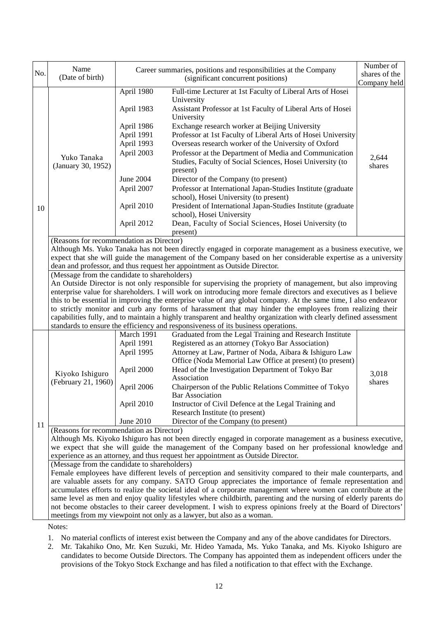| No. | Name                                                                                                                                                                                    |                                                                                                                                                                                                        | Career summaries, positions and responsibilities at the Company                                                     | Number of<br>shares of the |  |  |  |
|-----|-----------------------------------------------------------------------------------------------------------------------------------------------------------------------------------------|--------------------------------------------------------------------------------------------------------------------------------------------------------------------------------------------------------|---------------------------------------------------------------------------------------------------------------------|----------------------------|--|--|--|
|     | (Date of birth)                                                                                                                                                                         |                                                                                                                                                                                                        | (significant concurrent positions)                                                                                  | Company held               |  |  |  |
|     |                                                                                                                                                                                         | April 1980                                                                                                                                                                                             | Full-time Lecturer at 1st Faculty of Liberal Arts of Hosei<br>University                                            |                            |  |  |  |
|     |                                                                                                                                                                                         | April 1983                                                                                                                                                                                             | Assistant Professor at 1st Faculty of Liberal Arts of Hosei<br>University                                           |                            |  |  |  |
|     |                                                                                                                                                                                         | April 1986                                                                                                                                                                                             | Exchange research worker at Beijing University                                                                      |                            |  |  |  |
|     |                                                                                                                                                                                         | April 1991                                                                                                                                                                                             | Professor at 1st Faculty of Liberal Arts of Hosei University                                                        |                            |  |  |  |
|     |                                                                                                                                                                                         | April 1993                                                                                                                                                                                             | Overseas research worker of the University of Oxford                                                                |                            |  |  |  |
|     | Yuko Tanaka<br>(January 30, 1952)                                                                                                                                                       | April 2003                                                                                                                                                                                             | Professor at the Department of Media and Communication<br>Studies, Faculty of Social Sciences, Hosei University (to | 2,644<br>shares            |  |  |  |
|     |                                                                                                                                                                                         |                                                                                                                                                                                                        | present)                                                                                                            |                            |  |  |  |
|     |                                                                                                                                                                                         | June 2004                                                                                                                                                                                              | Director of the Company (to present)                                                                                |                            |  |  |  |
|     |                                                                                                                                                                                         | April 2007                                                                                                                                                                                             | Professor at International Japan-Studies Institute (graduate<br>school), Hosei University (to present)              |                            |  |  |  |
| 10  |                                                                                                                                                                                         | April 2010                                                                                                                                                                                             | President of International Japan-Studies Institute (graduate<br>school), Hosei University                           |                            |  |  |  |
|     |                                                                                                                                                                                         | April 2012                                                                                                                                                                                             | Dean, Faculty of Social Sciences, Hosei University (to<br>present)                                                  |                            |  |  |  |
|     | (Reasons for recommendation as Director)                                                                                                                                                |                                                                                                                                                                                                        |                                                                                                                     |                            |  |  |  |
|     |                                                                                                                                                                                         |                                                                                                                                                                                                        | Although Ms. Yuko Tanaka has not been directly engaged in corporate management as a business executive, we          |                            |  |  |  |
|     |                                                                                                                                                                                         |                                                                                                                                                                                                        | expect that she will guide the management of the Company based on her considerable expertise as a university        |                            |  |  |  |
|     | (Message from the candidate to shareholders)                                                                                                                                            |                                                                                                                                                                                                        | dean and professor, and thus request her appointment as Outside Director.                                           |                            |  |  |  |
|     |                                                                                                                                                                                         |                                                                                                                                                                                                        | An Outside Director is not only responsible for supervising the propriety of management, but also improving         |                            |  |  |  |
|     |                                                                                                                                                                                         |                                                                                                                                                                                                        | enterprise value for shareholders. I will work on introducing more female directors and executives as I believe     |                            |  |  |  |
|     | this to be essential in improving the enterprise value of any global company. At the same time, I also endeavor                                                                         |                                                                                                                                                                                                        |                                                                                                                     |                            |  |  |  |
|     | to strictly monitor and curb any forms of harassment that may hinder the employees from realizing their                                                                                 |                                                                                                                                                                                                        |                                                                                                                     |                            |  |  |  |
|     |                                                                                                                                                                                         | capabilities fully, and to maintain a highly transparent and healthy organization with clearly defined assessment<br>standards to ensure the efficiency and responsiveness of its business operations. |                                                                                                                     |                            |  |  |  |
|     |                                                                                                                                                                                         |                                                                                                                                                                                                        |                                                                                                                     |                            |  |  |  |
|     |                                                                                                                                                                                         | March 1991<br>April 1991                                                                                                                                                                               | Graduated from the Legal Training and Research Institute<br>Registered as an attorney (Tokyo Bar Association)       |                            |  |  |  |
|     |                                                                                                                                                                                         | April 1995                                                                                                                                                                                             | Attorney at Law, Partner of Noda, Aibara & Ishiguro Law                                                             |                            |  |  |  |
|     |                                                                                                                                                                                         |                                                                                                                                                                                                        | Office (Noda Memorial Law Office at present) (to present)                                                           |                            |  |  |  |
|     |                                                                                                                                                                                         | April 2000                                                                                                                                                                                             | Head of the Investigation Department of Tokyo Bar                                                                   |                            |  |  |  |
|     | Kiyoko Ishiguro                                                                                                                                                                         |                                                                                                                                                                                                        | Association                                                                                                         | 3,018                      |  |  |  |
|     | (February 21, 1960)                                                                                                                                                                     | April 2006                                                                                                                                                                                             | Chairperson of the Public Relations Committee of Tokyo<br><b>Bar Association</b>                                    | shares                     |  |  |  |
|     |                                                                                                                                                                                         | April 2010                                                                                                                                                                                             | Instructor of Civil Defence at the Legal Training and                                                               |                            |  |  |  |
|     |                                                                                                                                                                                         |                                                                                                                                                                                                        | Research Institute (to present)                                                                                     |                            |  |  |  |
| 11  |                                                                                                                                                                                         | June 2010                                                                                                                                                                                              | Director of the Company (to present)                                                                                |                            |  |  |  |
|     | (Reasons for recommendation as Director)                                                                                                                                                |                                                                                                                                                                                                        |                                                                                                                     |                            |  |  |  |
|     | Although Ms. Kiyoko Ishiguro has not been directly engaged in corporate management as a business executive,                                                                             |                                                                                                                                                                                                        |                                                                                                                     |                            |  |  |  |
|     | we expect that she will guide the management of the Company based on her professional knowledge and                                                                                     |                                                                                                                                                                                                        |                                                                                                                     |                            |  |  |  |
|     |                                                                                                                                                                                         | experience as an attorney, and thus request her appointment as Outside Director.<br>(Message from the candidate to shareholders)                                                                       |                                                                                                                     |                            |  |  |  |
|     |                                                                                                                                                                                         |                                                                                                                                                                                                        | Female employees have different levels of perception and sensitivity compared to their male counterparts, and       |                            |  |  |  |
|     |                                                                                                                                                                                         |                                                                                                                                                                                                        | are valuable assets for any company. SATO Group appreciates the importance of female representation and             |                            |  |  |  |
|     |                                                                                                                                                                                         |                                                                                                                                                                                                        | accumulates efforts to realize the societal ideal of a corporate management where women can contribute at the       |                            |  |  |  |
|     |                                                                                                                                                                                         |                                                                                                                                                                                                        | same level as men and enjoy quality lifestyles where childbirth, parenting and the nursing of elderly parents do    |                            |  |  |  |
|     | not become obstacles to their career development. I wish to express opinions freely at the Board of Directors'<br>meetings from my viewpoint not only as a lawyer, but also as a woman. |                                                                                                                                                                                                        |                                                                                                                     |                            |  |  |  |
|     |                                                                                                                                                                                         |                                                                                                                                                                                                        |                                                                                                                     |                            |  |  |  |
|     | Notes:                                                                                                                                                                                  |                                                                                                                                                                                                        |                                                                                                                     |                            |  |  |  |
|     |                                                                                                                                                                                         |                                                                                                                                                                                                        | 1. No material conflicts of interest exist between the Company and any of the above candidates for Directors.       |                            |  |  |  |

2. Mr. Takahiko Ono, Mr. Ken Suzuki, Mr. Hideo Yamada, Ms. Yuko Tanaka, and Ms. Kiyoko Ishiguro are candidates to become Outside Directors. The Company has appointed them as independent officers under the provisions of the Tokyo Stock Exchange and has filed a notification to that effect with the Exchange.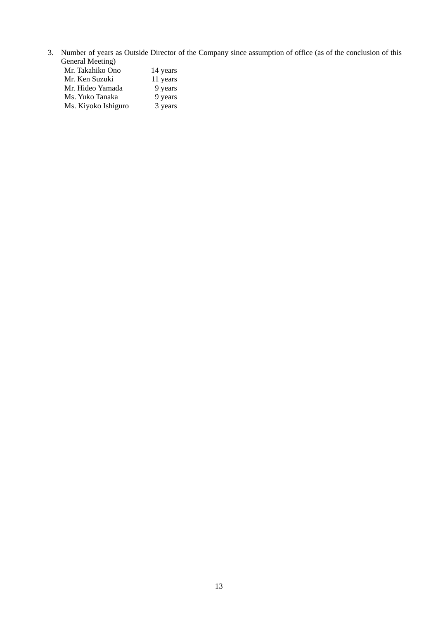3. Number of years as Outside Director of the Company since assumption of office (as of the conclusion of this General Meeting) Mr. Takahiko Ono 14 years

| ічн. такашко Опо    | 14 years |
|---------------------|----------|
| Mr. Ken Suzuki      | 11 years |
| Mr. Hideo Yamada    | 9 years  |
| Ms. Yuko Tanaka     | 9 years  |
| Ms. Kiyoko Ishiguro | 3 years  |
|                     |          |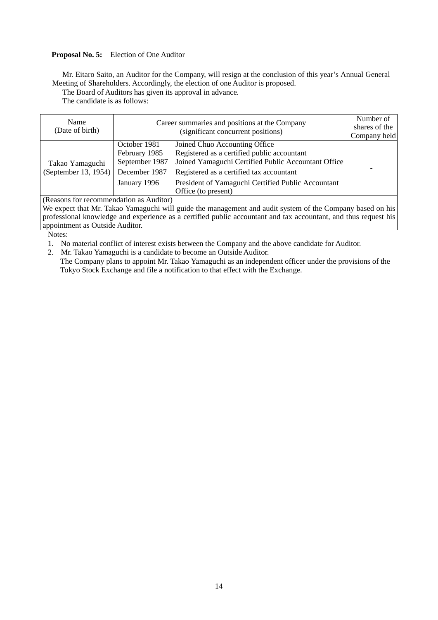## **Proposal No. 5:** Election of One Auditor

Mr. Eitaro Saito, an Auditor for the Company, will resign at the conclusion of this year's Annual General Meeting of Shareholders. Accordingly, the election of one Auditor is proposed.

The Board of Auditors has given its approval in advance.

The candidate is as follows:

| Name<br>(Date of birth)             |                                                 | Career summaries and positions at the Company<br>(significant concurrent positions)                                                 | Number of<br>shares of the<br>Company held |  |
|-------------------------------------|-------------------------------------------------|-------------------------------------------------------------------------------------------------------------------------------------|--------------------------------------------|--|
| Takao Yamaguchi                     | October 1981<br>February 1985<br>September 1987 | Joined Chuo Accounting Office<br>Registered as a certified public accountant<br>Joined Yamaguchi Certified Public Accountant Office |                                            |  |
| (September 13, 1954)                | December 1987                                   | Registered as a certified tax accountant                                                                                            |                                            |  |
|                                     | January 1996                                    | President of Yamaguchi Certified Public Accountant<br>Office (to present)                                                           |                                            |  |
| (Doseone for no commonation, so. A. |                                                 |                                                                                                                                     |                                            |  |

(Reasons for recommendation as Auditor)

We expect that Mr. Takao Yamaguchi will guide the management and audit system of the Company based on his professional knowledge and experience as a certified public accountant and tax accountant, and thus request his appointment as Outside Auditor.

Notes:

1. No material conflict of interest exists between the Company and the above candidate for Auditor.

2. Mr. Takao Yamaguchi is a candidate to become an Outside Auditor.

The Company plans to appoint Mr. Takao Yamaguchi as an independent officer under the provisions of the Tokyo Stock Exchange and file a notification to that effect with the Exchange.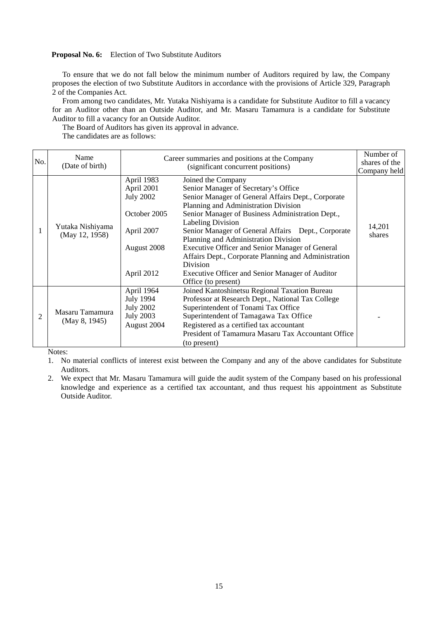## **Proposal No. 6:** Election of Two Substitute Auditors

To ensure that we do not fall below the minimum number of Auditors required by law, the Company proposes the election of two Substitute Auditors in accordance with the provisions of Article 329, Paragraph 2 of the Companies Act.

From among two candidates, Mr. Yutaka Nishiyama is a candidate for Substitute Auditor to fill a vacancy for an Auditor other than an Outside Auditor, and Mr. Masaru Tamamura is a candidate for Substitute Auditor to fill a vacancy for an Outside Auditor.

The Board of Auditors has given its approval in advance.

The candidates are as follows:

| No.            | Name<br>(Date of birth)            |                                                                                                         | Career summaries and positions at the Company<br>(significant concurrent positions)                                                                                                                                                                                                                                                                                                                                                                                                                                                     | Number of<br>shares of the<br>Company held |
|----------------|------------------------------------|---------------------------------------------------------------------------------------------------------|-----------------------------------------------------------------------------------------------------------------------------------------------------------------------------------------------------------------------------------------------------------------------------------------------------------------------------------------------------------------------------------------------------------------------------------------------------------------------------------------------------------------------------------------|--------------------------------------------|
|                | Yutaka Nishiyama<br>(May 12, 1958) | April 1983<br>April 2001<br><b>July 2002</b><br>October 2005<br>April 2007<br>August 2008<br>April 2012 | Joined the Company<br>Senior Manager of Secretary's Office<br>Senior Manager of General Affairs Dept., Corporate<br>Planning and Administration Division<br>Senior Manager of Business Administration Dept.,<br><b>Labeling Division</b><br>Senior Manager of General Affairs Dept., Corporate<br>Planning and Administration Division<br>Executive Officer and Senior Manager of General<br>Affairs Dept., Corporate Planning and Administration<br>Division<br>Executive Officer and Senior Manager of Auditor<br>Office (to present) | 14,201<br>shares                           |
| $\overline{2}$ | Masaru Tamamura<br>(May 8, 1945)   | April 1964<br>July 1994<br><b>July 2002</b><br><b>July 2003</b><br>August 2004                          | Joined Kantoshinetsu Regional Taxation Bureau<br>Professor at Research Dept., National Tax College<br>Superintendent of Tonami Tax Office<br>Superintendent of Tamagawa Tax Office<br>Registered as a certified tax accountant<br>President of Tamamura Masaru Tax Accountant Office<br>(to present)                                                                                                                                                                                                                                    |                                            |

Notes:

1. No material conflicts of interest exist between the Company and any of the above candidates for Substitute Auditors.

2. We expect that Mr. Masaru Tamamura will guide the audit system of the Company based on his professional knowledge and experience as a certified tax accountant, and thus request his appointment as Substitute Outside Auditor.